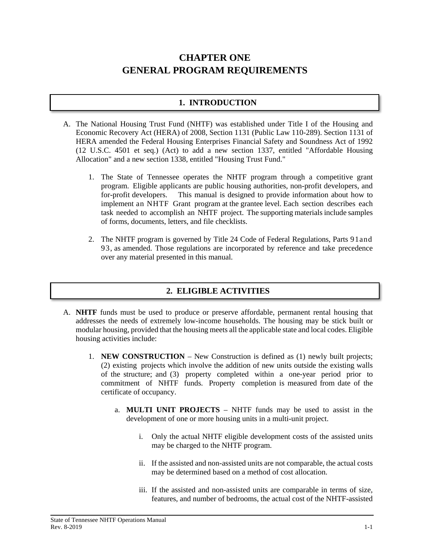# **CHAPTER ONE GENERAL PROGRAM REQUIREMENTS**

## **1. INTRODUCTION**

- A. The National Housing Trust Fund (NHTF) was established under Title I of the Housing and Economic Recovery Act (HERA) of 2008, Section 1131 (Public Law 110-289). Section 1131 of HERA amended the Federal Housing Enterprises Financial Safety and Soundness Act of 1992 (12 U.S.C. 4501 et seq.) (Act) to add a new section 1337, entitled "Affordable Housing Allocation" and a new section 1338, entitled "Housing Trust Fund."
	- 1. The State of Tennessee operates the NHTF program through a competitive grant program. Eligible applicants are public housing authorities, non-profit developers, and for-profit developers. This manual is designed to provide information about how to implement an NHTF Grant program at the grantee level. Each section describes each task needed to accomplish an NHTF project. The supporting materials include samples of forms, documents, letters, and file checklists.
	- 2. The NHTF program is governed by Title 24 Code of Federal Regulations, Parts 91and 93, as amended. Those regulations are incorporated by reference and take precedence over any material presented in this manual.

# **2. ELIGIBLE ACTIVITIES**

- A. **NHTF** funds must be used to produce or preserve affordable, permanent rental housing that addresses the needs of extremely low-income households. The housing may be stick built or modular housing, provided that the housing meets all the applicable state and local codes. Eligible housing activities include:
	- 1. **NEW CONSTRUCTION** New Construction is defined as (1) newly built projects; (2) existing projects which involve the addition of new units outside the existing walls of the structure; and (3) property completed within a one-year period prior to commitment of NHTF funds. Property completion is measured from date of the certificate of occupancy.
		- a. **MULTI UNIT PROJECTS**  NHTF funds may be used to assist in the development of one or more housing units in a multi-unit project.
			- i. Only the actual NHTF eligible development costs of the assisted units may be charged to the NHTF program.
			- ii. If the assisted and non-assisted units are not comparable, the actual costs may be determined based on a method of cost allocation.
			- iii. If the assisted and non-assisted units are comparable in terms of size, features, and number of bedrooms, the actual cost of the NHTF-assisted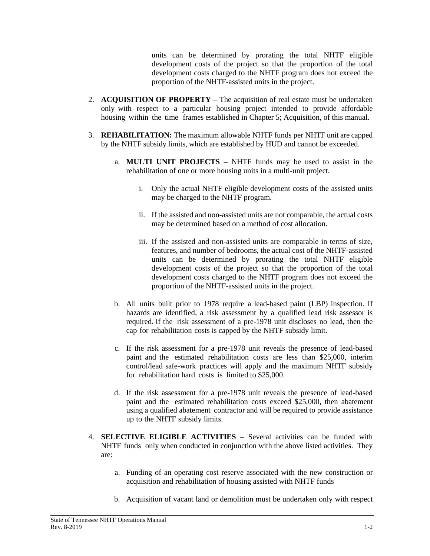units can be determined by prorating the total NHTF eligible development costs of the project so that the proportion of the total development costs charged to the NHTF program does not exceed the proportion of the NHTF-assisted units in the project.

- 2. **ACQUISITION OF PROPERTY** The acquisition of real estate must be undertaken only with respect to a particular housing project intended to provide affordable housing within the time frames established in Chapter 5; Acquisition, of this manual.
- 3. **REHABILITATION:** The maximum allowable NHTF funds per NHTF unit are capped by the NHTF subsidy limits, which are established by HUD and cannot be exceeded.
	- a. **MULTI UNIT PROJECTS**  NHTF funds may be used to assist in the rehabilitation of one or more housing units in a multi-unit project.
		- i. Only the actual NHTF eligible development costs of the assisted units may be charged to the NHTF program.
		- ii. If the assisted and non-assisted units are not comparable, the actual costs may be determined based on a method of cost allocation.
		- iii. If the assisted and non-assisted units are comparable in terms of size, features, and number of bedrooms, the actual cost of the NHTF-assisted units can be determined by prorating the total NHTF eligible development costs of the project so that the proportion of the total development costs charged to the NHTF program does not exceed the proportion of the NHTF-assisted units in the project.
	- b. All units built prior to 1978 require a lead-based paint (LBP) inspection. If hazards are identified, a risk assessment by a qualified lead risk assessor is required. If the risk assessment of a pre-1978 unit discloses no lead, then the cap for rehabilitation costs is capped by the NHTF subsidy limit.
	- c. If the risk assessment for a pre-1978 unit reveals the presence of lead-based paint and the estimated rehabilitation costs are less than \$25,000, interim control/lead safe-work practices will apply and the maximum NHTF subsidy for rehabilitation hard costs is limited to \$25,000.
	- d. If the risk assessment for a pre-1978 unit reveals the presence of lead-based paint and the estimated rehabilitation costs exceed \$25,000, then abatement using a qualified abatement contractor and will be required to provide assistance up to the NHTF subsidy limits.
- 4. **SELECTIVE ELIGIBLE ACTIVITIES** Several activities can be funded with NHTF funds only when conducted in conjunction with the above listed activities. They are:
	- a. Funding of an operating cost reserve associated with the new construction or acquisition and rehabilitation of housing assisted with NHTF funds
	- b. Acquisition of vacant land or demolition must be undertaken only with respect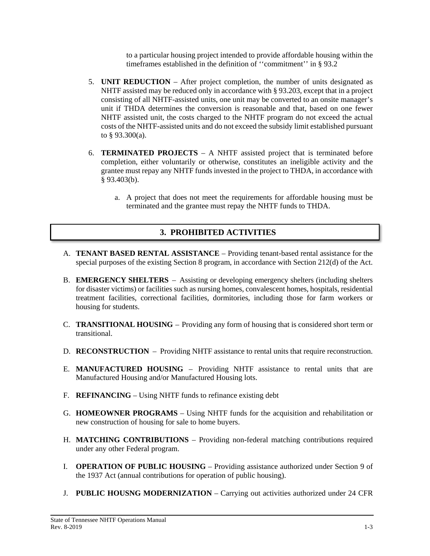to a particular housing project intended to provide affordable housing within the timeframes established in the definition of ''commitment'' in § 93.2

- 5. **UNIT REDUCTION** After project completion, the number of units designated as NHTF assisted may be reduced only in accordance with § 93.203, except that in a project consisting of all NHTF-assisted units, one unit may be converted to an onsite manager's unit if THDA determines the conversion is reasonable and that, based on one fewer NHTF assisted unit, the costs charged to the NHTF program do not exceed the actual costs of the NHTF-assisted units and do not exceed the subsidy limit established pursuant to § 93.300(a).
- 6. **TERMINATED PROJECTS** A NHTF assisted project that is terminated before completion, either voluntarily or otherwise, constitutes an ineligible activity and the grantee must repay any NHTF funds invested in the project to THDA, in accordance with § 93.403(b).
	- a. A project that does not meet the requirements for affordable housing must be terminated and the grantee must repay the NHTF funds to THDA.

# **3. PROHIBITED ACTIVITIES**

- A. **TENANT BASED RENTAL ASSISTANCE** Providing tenant-based rental assistance for the special purposes of the existing Section 8 program, in accordance with Section 212(d) of the Act.
- B. **EMERGENCY SHELTERS** Assisting or developing emergency shelters (including shelters for disaster victims) or facilities such as nursing homes, convalescent homes, hospitals, residential treatment facilities, correctional facilities, dormitories, including those for farm workers or housing for students.
- C. **TRANSITIONAL HOUSING** Providing any form of housing that is considered short term or transitional.
- D. **RECONSTRUCTION** Providing NHTF assistance to rental units that require reconstruction.
- E. **MANUFACTURED HOUSING** Providing NHTF assistance to rental units that are Manufactured Housing and/or Manufactured Housing lots.
- F. **REFINANCING**  Using NHTF funds to refinance existing debt
- G. **HOMEOWNER PROGRAMS** Using NHTF funds for the acquisition and rehabilitation or new construction of housing for sale to home buyers.
- H. **MATCHING CONTRIBUTIONS** Providing non-federal matching contributions required under any other Federal program.
- I. **OPERATION OF PUBLIC HOUSING**  Providing assistance authorized under Section 9 of the 1937 Act (annual contributions for operation of public housing).
- J. **PUBLIC HOUSNG MODERNIZATION** Carrying out activities authorized under 24 CFR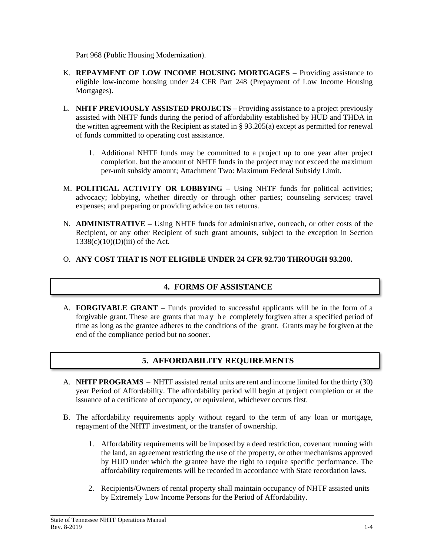Part 968 (Public Housing Modernization).

- K. **REPAYMENT OF LOW INCOME HOUSING MORTGAGES** Providing assistance to eligible low-income housing under 24 CFR Part 248 (Prepayment of Low Income Housing Mortgages).
- L. **NHTF PREVIOUSLY ASSISTED PROJECTS** Providing assistance to a project previously assisted with NHTF funds during the period of affordability established by HUD and THDA in the written agreement with the Recipient as stated in § 93.205(a) except as permitted for renewal of funds committed to operating cost assistance.
	- 1. Additional NHTF funds may be committed to a project up to one year after project completion, but the amount of NHTF funds in the project may not exceed the maximum per-unit subsidy amount; Attachment Two: Maximum Federal Subsidy Limit.
- M. **POLITICAL ACTIVITY OR LOBBYING**  Using NHTF funds for political activities; advocacy; lobbying, whether directly or through other parties; counseling services; travel expenses; and preparing or providing advice on tax returns.
- N. **ADMINISTRATIVE** Using NHTF funds for administrative, outreach, or other costs of the Recipient, or any other Recipient of such grant amounts, subject to the exception in Section  $1338(c)(10)(D)(iii)$  of the Act.

#### O. **ANY COST THAT IS NOT ELIGIBLE UNDER 24 CFR 92.730 THROUGH 93.200.**

### **4. FORMS OF ASSISTANCE**

A. **FORGIVABLE GRANT** – Funds provided to successful applicants will be in the form of a forgivable grant. These are grants that may be completely forgiven after a specified period of time as long as the grantee adheres to the conditions of the grant. Grants may be forgiven at the end of the compliance period but no sooner.

# **5. AFFORDABILITY REQUIREMENTS**

- A. **NHTF PROGRAMS** NHTF assisted rental units are rent and income limited for the thirty (30) year Period of Affordability. The affordability period will begin at project completion or at the issuance of a certificate of occupancy, or equivalent, whichever occurs first.
- B. The affordability requirements apply without regard to the term of any loan or mortgage, repayment of the NHTF investment, or the transfer of ownership.
	- 1. Affordability requirements will be imposed by a deed restriction, covenant running with the land, an agreement restricting the use of the property, or other mechanisms approved by HUD under which the grantee have the right to require specific performance. The affordability requirements will be recorded in accordance with State recordation laws.
	- 2. Recipients/Owners of rental property shall maintain occupancy of NHTF assisted units by Extremely Low Income Persons for the Period of Affordability.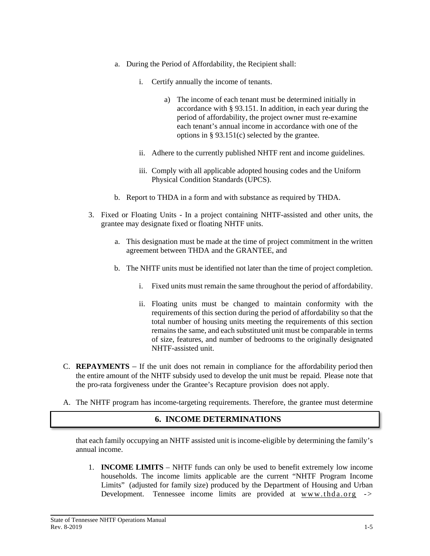- a. During the Period of Affordability, the Recipient shall:
	- i. Certify annually the income of tenants.
		- a) The income of each tenant must be determined initially in accordance with § 93.151. In addition, in each year during the period of affordability, the project owner must re-examine each tenant's annual income in accordance with one of the options in § 93.151(c) selected by the grantee.
	- ii. Adhere to the currently published NHTF rent and income guidelines.
	- iii. Comply with all applicable adopted housing codes and the Uniform Physical Condition Standards (UPCS).
- b. Report to THDA in a form and with substance as required by THDA.
- 3. Fixed or Floating Units In a project containing NHTF-assisted and other units, the grantee may designate fixed or floating NHTF units.
	- a. This designation must be made at the time of project commitment in the written agreement between THDA and the GRANTEE, and
	- b. The NHTF units must be identified not later than the time of project completion.
		- i. Fixed units must remain the same throughout the period of affordability.
		- ii. Floating units must be changed to maintain conformity with the requirements of this section during the period of affordability so that the total number of housing units meeting the requirements of this section remains the same, and each substituted unit must be comparable in terms of size, features, and number of bedrooms to the originally designated NHTF-assisted unit.
- C. **REPAYMENTS** If the unit does not remain in compliance for the affordability period then the entire amount of the NHTF subsidy used to develop the unit must be repaid. Please note that the pro-rata forgiveness under the Grantee's Recapture provision does not apply.
- A. The NHTF program has income-targeting requirements. Therefore, the grantee must determine

### **6. INCOME DETERMINATIONS**

that each family occupying an NHTF assisted unit is income-eligible by determining the family's annual income.

1. **INCOME LIMITS** – NHTF funds can only be used to benefit extremely low income households. The income limits applicable are the current "NHTF Program Income Limits" (adjusted for family size) produced by the Department of Housing and Urban Development. Tennessee income limits are provided at [www.thda.org](http://www.thda.org/) ->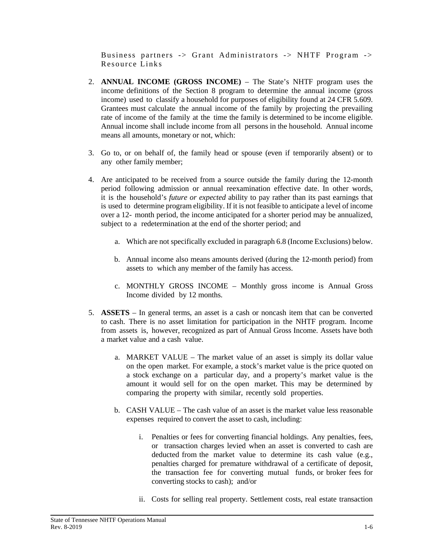Business partners -> Grant Administrators -> NHTF Program -> Resource Links

- 2. **ANNUAL INCOME (GROSS INCOME)** The State's NHTF program uses the income definitions of the Section 8 program to determine the annual income (gross income) used to classify a household for purposes of eligibility found at 24 CFR 5.609. Grantees must calculate the annual income of the family by projecting the prevailing rate of income of the family at the time the family is determined to be income eligible. Annual income shall include income from all persons in the household. Annual income means all amounts, monetary or not, which:
- 3. Go to, or on behalf of, the family head or spouse (even if temporarily absent) or to any other family member;
- 4. Are anticipated to be received from a source outside the family during the 12-month period following admission or annual reexamination effective date. In other words, it is the household's *future or expected* ability to pay rather than its past earnings that is used to determine program eligibility. If it is not feasible to anticipate a level of income over a 12- month period, the income anticipated for a shorter period may be annualized, subject to a redetermination at the end of the shorter period; and
	- a. Which are not specifically excluded in paragraph 6.8 (Income Exclusions) below.
	- b. Annual income also means amounts derived (during the 12-month period) from assets to which any member of the family has access.
	- c. MONTHLY GROSS INCOME Monthly gross income is Annual Gross Income divided by 12 months.
- 5. **ASSETS** In general terms, an asset is a cash or noncash item that can be converted to cash. There is no asset limitation for participation in the NHTF program. Income from assets is, however, recognized as part of Annual Gross Income. Assets have both a market value and a cash value.
	- a. MARKET VALUE The market value of an asset is simply its dollar value on the open market. For example, a stock's market value is the price quoted on a stock exchange on a particular day, and a property's market value is the amount it would sell for on the open market. This may be determined by comparing the property with similar, recently sold properties.
	- b. CASH VALUE The cash value of an asset is the market value less reasonable expenses required to convert the asset to cash, including:
		- i. Penalties or fees for converting financial holdings. Any penalties, fees, or transaction charges levied when an asset is converted to cash are deducted from the market value to determine its cash value (e.g., penalties charged for premature withdrawal of a certificate of deposit, the transaction fee for converting mutual funds, or broker fees for converting stocks to cash); and/or
		- ii. Costs for selling real property. Settlement costs, real estate transaction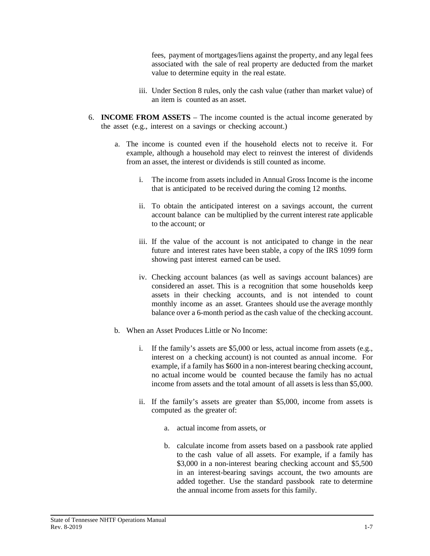fees, payment of mortgages/liens against the property, and any legal fees associated with the sale of real property are deducted from the market value to determine equity in the real estate.

- iii. Under Section 8 rules, only the cash value (rather than market value) of an item is counted as an asset.
- 6. **INCOME FROM ASSETS** The income counted is the actual income generated by the asset (e.g., interest on a savings or checking account.)
	- a. The income is counted even if the household elects not to receive it. For example, although a household may elect to reinvest the interest of dividends from an asset, the interest or dividends is still counted as income.
		- i. The income from assets included in Annual Gross Income is the income that is anticipated to be received during the coming 12 months.
		- ii. To obtain the anticipated interest on a savings account, the current account balance can be multiplied by the current interest rate applicable to the account; or
		- iii. If the value of the account is not anticipated to change in the near future and interest rates have been stable, a copy of the IRS 1099 form showing past interest earned can be used.
		- iv. Checking account balances (as well as savings account balances) are considered an asset. This is a recognition that some households keep assets in their checking accounts, and is not intended to count monthly income as an asset. Grantees should use the average monthly balance over a 6-month period as the cash value of the checking account.
	- b. When an Asset Produces Little or No Income:
		- i. If the family's assets are \$5,000 or less, actual income from assets (e.g., interest on a checking account) is not counted as annual income. For example, if a family has \$600 in a non-interest bearing checking account, no actual income would be counted because the family has no actual income from assets and the total amount of all assets is less than \$5,000.
		- ii. If the family's assets are greater than \$5,000, income from assets is computed as the greater of:
			- a. actual income from assets, or
			- b. calculate income from assets based on a passbook rate applied to the cash value of all assets. For example, if a family has \$3,000 in a non-interest bearing checking account and \$5,500 in an interest-bearing savings account, the two amounts are added together. Use the standard passbook rate to determine the annual income from assets for this family.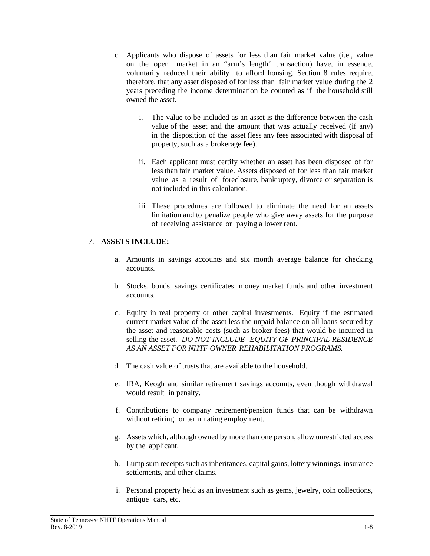- c. Applicants who dispose of assets for less than fair market value (i.e., value on the open market in an "arm's length" transaction) have, in essence, voluntarily reduced their ability to afford housing. Section 8 rules require, therefore, that any asset disposed of for less than fair market value during the 2 years preceding the income determination be counted as if the household still owned the asset.
	- i. The value to be included as an asset is the difference between the cash value of the asset and the amount that was actually received (if any) in the disposition of the asset (less any fees associated with disposal of property, such as a brokerage fee).
	- ii. Each applicant must certify whether an asset has been disposed of for less than fair market value. Assets disposed of for less than fair market value as a result of foreclosure, bankruptcy, divorce or separation is not included in this calculation.
	- iii. These procedures are followed to eliminate the need for an assets limitation and to penalize people who give away assets for the purpose of receiving assistance or paying a lower rent.

#### 7. **ASSETS INCLUDE:**

- a. Amounts in savings accounts and six month average balance for checking accounts.
- b. Stocks, bonds, savings certificates, money market funds and other investment accounts.
- c. Equity in real property or other capital investments. Equity if the estimated current market value of the asset less the unpaid balance on all loans secured by the asset and reasonable costs (such as broker fees) that would be incurred in selling the asset. *DO NOT INCLUDE EQUITY OF PRINCIPAL RESIDENCE AS AN ASSET FOR NHTF OWNER REHABILITATION PROGRAMS.*
- d. The cash value of trusts that are available to the household.
- e. IRA, Keogh and similar retirement savings accounts, even though withdrawal would result in penalty.
- f. Contributions to company retirement/pension funds that can be withdrawn without retiring or terminating employment.
- g. Assets which, although owned by more than one person, allow unrestricted access by the applicant.
- h. Lump sum receipts such as inheritances, capital gains, lottery winnings, insurance settlements, and other claims.
- i. Personal property held as an investment such as gems, jewelry, coin collections, antique cars, etc.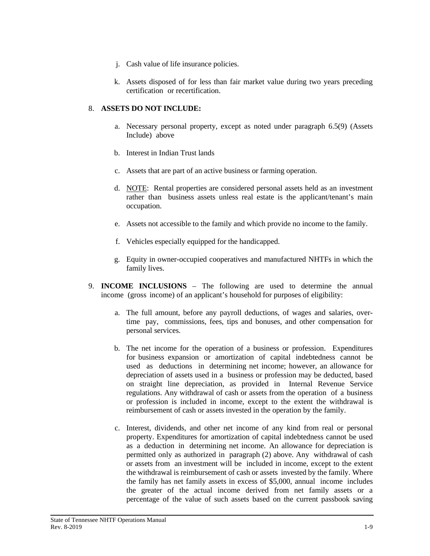- j. Cash value of life insurance policies.
- k. Assets disposed of for less than fair market value during two years preceding certification or recertification.

#### 8. **ASSETS DO NOT INCLUDE:**

- a. Necessary personal property, except as noted under paragraph 6.5(9) (Assets Include) above
- b. Interest in Indian Trust lands
- c. Assets that are part of an active business or farming operation.
- d. NOTE: Rental properties are considered personal assets held as an investment rather than business assets unless real estate is the applicant/tenant's main occupation.
- e. Assets not accessible to the family and which provide no income to the family.
- f. Vehicles especially equipped for the handicapped.
- g. Equity in owner-occupied cooperatives and manufactured NHTFs in which the family lives.
- 9. **INCOME INCLUSIONS** The following are used to determine the annual income (gross income) of an applicant's household for purposes of eligibility:
	- a. The full amount, before any payroll deductions, of wages and salaries, overtime pay, commissions, fees, tips and bonuses, and other compensation for personal services.
	- b. The net income for the operation of a business or profession. Expenditures for business expansion or amortization of capital indebtedness cannot be used as deductions in determining net income; however, an allowance for depreciation of assets used in a business or profession may be deducted, based on straight line depreciation, as provided in Internal Revenue Service regulations. Any withdrawal of cash or assets from the operation of a business or profession is included in income, except to the extent the withdrawal is reimbursement of cash or assets invested in the operation by the family.
	- c. Interest, dividends, and other net income of any kind from real or personal property. Expenditures for amortization of capital indebtedness cannot be used as a deduction in determining net income. An allowance for depreciation is permitted only as authorized in paragraph (2) above. Any withdrawal of cash or assets from an investment will be included in income, except to the extent the withdrawal is reimbursement of cash or assets invested by the family. Where the family has net family assets in excess of \$5,000, annual income includes the greater of the actual income derived from net family assets or a percentage of the value of such assets based on the current passbook saving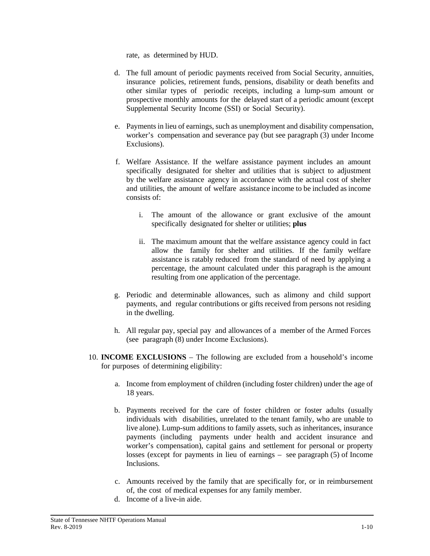rate, as determined by HUD.

- d. The full amount of periodic payments received from Social Security, annuities, insurance policies, retirement funds, pensions, disability or death benefits and other similar types of periodic receipts, including a lump-sum amount or prospective monthly amounts for the delayed start of a periodic amount (except Supplemental Security Income (SSI) or Social Security).
- e. Payments in lieu of earnings, such as unemployment and disability compensation, worker's compensation and severance pay (but see paragraph (3) under Income Exclusions).
- f. Welfare Assistance. If the welfare assistance payment includes an amount specifically designated for shelter and utilities that is subject to adjustment by the welfare assistance agency in accordance with the actual cost of shelter and utilities, the amount of welfare assistance income to be included as income consists of:
	- i. The amount of the allowance or grant exclusive of the amount specifically designated for shelter or utilities; **plus**
	- ii. The maximum amount that the welfare assistance agency could in fact allow the family for shelter and utilities. If the family welfare assistance is ratably reduced from the standard of need by applying a percentage, the amount calculated under this paragraph is the amount resulting from one application of the percentage.
- g. Periodic and determinable allowances, such as alimony and child support payments, and regular contributions or gifts received from persons not residing in the dwelling.
- h. All regular pay, special pay and allowances of a member of the Armed Forces (see paragraph (8) under Income Exclusions).
- 10. **INCOME EXCLUSIONS** The following are excluded from a household's income for purposes of determining eligibility:
	- a. Income from employment of children (including foster children) under the age of 18 years.
	- b. Payments received for the care of foster children or foster adults (usually individuals with disabilities, unrelated to the tenant family, who are unable to live alone). Lump-sum additions to family assets, such as inheritances, insurance payments (including payments under health and accident insurance and worker's compensation), capital gains and settlement for personal or property losses (except for payments in lieu of earnings – see paragraph (5) of Income Inclusions.
	- c. Amounts received by the family that are specifically for, or in reimbursement of, the cost of medical expenses for any family member.
	- d. Income of a live-in aide.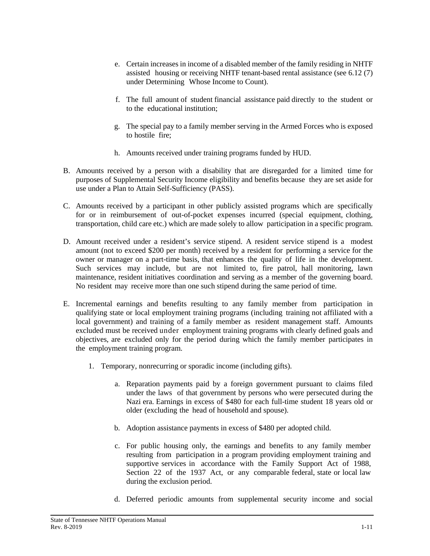- e. Certain increases in income of a disabled member of the family residing in NHTF assisted housing or receiving NHTF tenant-based rental assistance (see 6.12 (7) under Determining Whose Income to Count).
- f. The full amount of student financial assistance paid directly to the student or to the educational institution;
- g. The special pay to a family member serving in the Armed Forces who is exposed to hostile fire;
- h. Amounts received under training programs funded by HUD.
- B. Amounts received by a person with a disability that are disregarded for a limited time for purposes of Supplemental Security Income eligibility and benefits because they are set aside for use under a Plan to Attain Self-Sufficiency (PASS).
- C. Amounts received by a participant in other publicly assisted programs which are specifically for or in reimbursement of out-of-pocket expenses incurred (special equipment, clothing, transportation, child care etc.) which are made solely to allow participation in a specific program.
- D. Amount received under a resident's service stipend. A resident service stipend is a modest amount (not to exceed \$200 per month) received by a resident for performing a service for the owner or manager on a part-time basis, that enhances the quality of life in the development. Such services may include, but are not limited to, fire patrol, hall monitoring, lawn maintenance, resident initiatives coordination and serving as a member of the governing board. No resident may receive more than one such stipend during the same period of time.
- E. Incremental earnings and benefits resulting to any family member from participation in qualifying state or local employment training programs (including training not affiliated with a local government) and training of a family member as resident management staff. Amounts excluded must be received under employment training programs with clearly defined goals and objectives, are excluded only for the period during which the family member participates in the employment training program.
	- 1. Temporary, nonrecurring or sporadic income (including gifts).
		- a. Reparation payments paid by a foreign government pursuant to claims filed under the laws of that government by persons who were persecuted during the Nazi era. Earnings in excess of \$480 for each full-time student 18 years old or older (excluding the head of household and spouse).
		- b. Adoption assistance payments in excess of \$480 per adopted child.
		- c. For public housing only, the earnings and benefits to any family member resulting from participation in a program providing employment training and supportive services in accordance with the Family Support Act of 1988, Section 22 of the 1937 Act, or any comparable federal, state or local law during the exclusion period.
		- d. Deferred periodic amounts from supplemental security income and social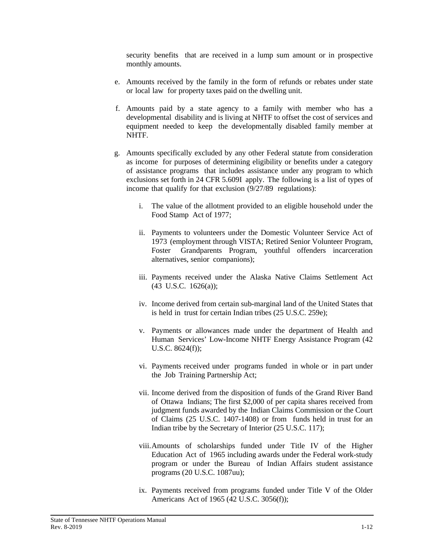security benefits that are received in a lump sum amount or in prospective monthly amounts.

- e. Amounts received by the family in the form of refunds or rebates under state or local law for property taxes paid on the dwelling unit.
- f. Amounts paid by a state agency to a family with member who has a developmental disability and is living at NHTF to offset the cost of services and equipment needed to keep the developmentally disabled family member at NHTF.
- g. Amounts specifically excluded by any other Federal statute from consideration as income for purposes of determining eligibility or benefits under a category of assistance programs that includes assistance under any program to which exclusions set forth in 24 CFR 5.609I apply. The following is a list of types of income that qualify for that exclusion (9/27/89 regulations):
	- i. The value of the allotment provided to an eligible household under the Food Stamp Act of 1977;
	- ii. Payments to volunteers under the Domestic Volunteer Service Act of 1973 (employment through VISTA; Retired Senior Volunteer Program, Foster Grandparents Program, youthful offenders incarceration alternatives, senior companions);
	- iii. Payments received under the Alaska Native Claims Settlement Act (43 U.S.C. 1626(a));
	- iv. Income derived from certain sub-marginal land of the United States that is held in trust for certain Indian tribes (25 U.S.C. 259e);
	- v. Payments or allowances made under the department of Health and Human Services' Low-Income NHTF Energy Assistance Program (42 U.S.C. 8624(f));
	- vi. Payments received under programs funded in whole or in part under the Job Training Partnership Act;
	- vii. Income derived from the disposition of funds of the Grand River Band of Ottawa Indians; The first \$2,000 of per capita shares received from judgment funds awarded by the Indian Claims Commission or the Court of Claims (25 U.S.C. 1407-1408) or from funds held in trust for an Indian tribe by the Secretary of Interior (25 U.S.C. 117);
	- viii.Amounts of scholarships funded under Title IV of the Higher Education Act of 1965 including awards under the Federal work-study program or under the Bureau of Indian Affairs student assistance programs (20 U.S.C. 1087uu);
	- ix. Payments received from programs funded under Title V of the Older Americans Act of 1965 (42 U.S.C. 3056(f));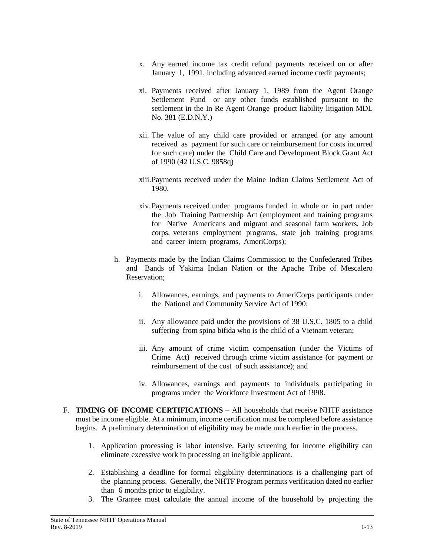- x. Any earned income tax credit refund payments received on or after January 1, 1991, including advanced earned income credit payments;
- xi. Payments received after January 1, 1989 from the Agent Orange Settlement Fund or any other funds established pursuant to the settlement in the In Re Agent Orange product liability litigation MDL No. 381 (E.D.N.Y.)
- xii. The value of any child care provided or arranged (or any amount received as payment for such care or reimbursement for costs incurred for such care) under the Child Care and Development Block Grant Act of 1990 (42 U.S.C. 9858q)
- xiii.Payments received under the Maine Indian Claims Settlement Act of 1980.
- xiv.Payments received under programs funded in whole or in part under the Job Training Partnership Act (employment and training programs for Native Americans and migrant and seasonal farm workers, Job corps, veterans employment programs, state job training programs and career intern programs, AmeriCorps);
- h. Payments made by the Indian Claims Commission to the Confederated Tribes and Bands of Yakima Indian Nation or the Apache Tribe of Mescalero Reservation;
	- i. Allowances, earnings, and payments to AmeriCorps participants under the National and Community Service Act of 1990;
	- ii. Any allowance paid under the provisions of 38 U.S.C. 1805 to a child suffering from spina bifida who is the child of a Vietnam veteran;
	- iii. Any amount of crime victim compensation (under the Victims of Crime Act) received through crime victim assistance (or payment or reimbursement of the cost of such assistance); and
	- iv. Allowances, earnings and payments to individuals participating in programs under the Workforce Investment Act of 1998.
- F. **TIMING OF INCOME CERTIFICATIONS** All households that receive NHTF assistance must be income eligible. At a minimum, income certification must be completed before assistance begins. A preliminary determination of eligibility may be made much earlier in the process.
	- 1. Application processing is labor intensive. Early screening for income eligibility can eliminate excessive work in processing an ineligible applicant.
	- 2. Establishing a deadline for formal eligibility determinations is a challenging part of the planning process. Generally, the NHTF Program permits verification dated no earlier than 6 months prior to eligibility.
	- 3. The Grantee must calculate the annual income of the household by projecting the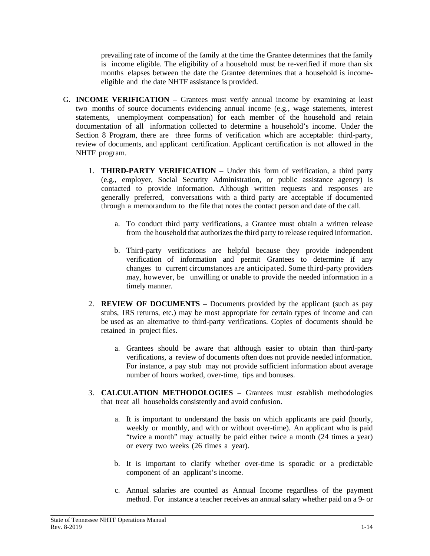prevailing rate of income of the family at the time the Grantee determines that the family is income eligible. The eligibility of a household must be re-verified if more than six months elapses between the date the Grantee determines that a household is incomeeligible and the date NHTF assistance is provided.

- G. **INCOME VERIFICATION** Grantees must verify annual income by examining at least two months of source documents evidencing annual income (e.g., wage statements, interest statements, unemployment compensation) for each member of the household and retain documentation of all information collected to determine a household's income. Under the Section 8 Program, there are three forms of verification which are acceptable: third-party, review of documents, and applicant certification. Applicant certification is not allowed in the NHTF program.
	- 1. **THIRD-PARTY VERIFICATION** Under this form of verification, a third party (e.g., employer, Social Security Administration, or public assistance agency) is contacted to provide information. Although written requests and responses are generally preferred, conversations with a third party are acceptable if documented through a memorandum to the file that notes the contact person and date of the call.
		- a. To conduct third party verifications, a Grantee must obtain a written release from the household that authorizes the third party to release required information.
		- b. Third-party verifications are helpful because they provide independent verification of information and permit Grantees to determine if any changes to current circumstances are anticipated. Some third-party providers may, however, be unwilling or unable to provide the needed information in a timely manner.
	- 2. **REVIEW OF DOCUMENTS** Documents provided by the applicant (such as pay stubs, IRS returns, etc.) may be most appropriate for certain types of income and can be used as an alternative to third-party verifications. Copies of documents should be retained in project files.
		- a. Grantees should be aware that although easier to obtain than third-party verifications, a review of documents often does not provide needed information. For instance, a pay stub may not provide sufficient information about average number of hours worked, over-time, tips and bonuses.
	- 3. **CALCULATION METHODOLOGIES** Grantees must establish methodologies that treat all households consistently and avoid confusion.
		- a. It is important to understand the basis on which applicants are paid (hourly, weekly or monthly, and with or without over-time). An applicant who is paid "twice a month" may actually be paid either twice a month (24 times a year) or every two weeks (26 times a year).
		- b. It is important to clarify whether over-time is sporadic or a predictable component of an applicant's income.
		- c. Annual salaries are counted as Annual Income regardless of the payment method. For instance a teacher receives an annual salary whether paid on a 9- or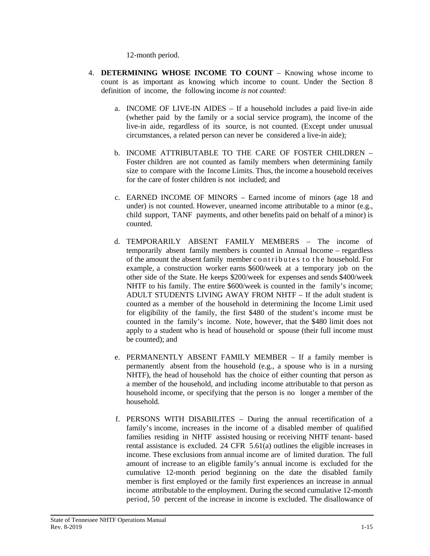12-month period.

- 4. **DETERMINING WHOSE INCOME TO COUNT** Knowing whose income to count is as important as knowing which income to count. Under the Section 8 definition of income, the following income *is not counted*:
	- a. INCOME OF LIVE-IN AIDES If a household includes a paid live-in aide (whether paid by the family or a social service program), the income of the live-in aide, regardless of its source, is not counted. (Except under unusual circumstances, a related person can never be considered a live-in aide);
	- b. INCOME ATTRIBUTABLE TO THE CARE OF FOSTER CHILDREN Foster children are not counted as family members when determining family size to compare with the Income Limits. Thus, the income a household receives for the care of foster children is not included; and
	- c. EARNED INCOME OF MINORS Earned income of minors (age 18 and under) is not counted. However, unearned income attributable to a minor (e.g., child support, TANF payments, and other benefits paid on behalf of a minor) is counted.
	- d. TEMPORARILY ABSENT FAMILY MEMBERS The income of temporarily absent family members is counted in Annual Income – regardless of the amount the absent family member contributes t o the household. For example, a construction worker earns \$600/week at a temporary job on the other side of the State. He keeps \$200/week for expenses and sends \$400/week NHTF to his family. The entire \$600/week is counted in the family's income; ADULT STUDENTS LIVING AWAY FROM NHTF – If the adult student is counted as a member of the household in determining the Income Limit used for eligibility of the family, the first \$480 of the student's income must be counted in the family's income. Note, however, that the \$480 limit does not apply to a student who is head of household or spouse (their full income must be counted); and
	- e. PERMANENTLY ABSENT FAMILY MEMBER If a family member is permanently absent from the household (e.g., a spouse who is in a nursing NHTF), the head of household has the choice of either counting that person as a member of the household, and including income attributable to that person as household income, or specifying that the person is no longer a member of the household.
	- f. PERSONS WITH DISABILITES During the annual recertification of a family's income, increases in the income of a disabled member of qualified families residing in NHTF assisted housing or receiving NHTF tenant- based rental assistance is excluded. 24 CFR 5.61(a) outlines the eligible increases in income. These exclusions from annual income are of limited duration. The full amount of increase to an eligible family's annual income is excluded for the cumulative 12-month period beginning on the date the disabled family member is first employed or the family first experiences an increase in annual income attributable to the employment. During the second cumulative 12-month period, 50 percent of the increase in income is excluded. The disallowance of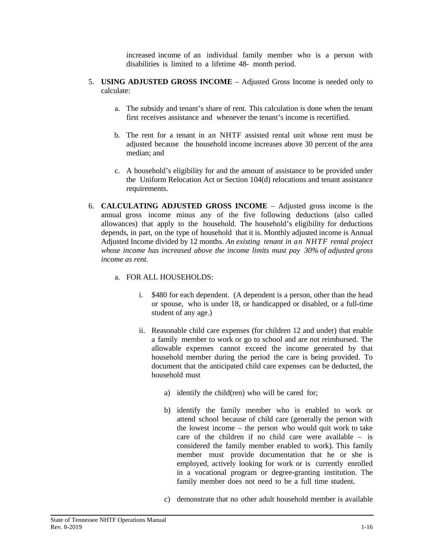increased income of an individual family member who is a person with disabilities is limited to a lifetime 48- month period.

- 5. **USING ADJUSTED GROSS INCOME**  Adjusted Gross Income is needed only to calculate:
	- a. The subsidy and tenant's share of rent. This calculation is done when the tenant first receives assistance and whenever the tenant's income is recertified.
	- b. The rent for a tenant in an NHTF assisted rental unit whose rent must be adjusted because the household income increases above 30 percent of the area median; and
	- c. A household's eligibility for and the amount of assistance to be provided under the Uniform Relocation Act or Section 104(d) relocations and tenant assistance requirements.
- 6. **CALCULATING ADJUSTED GROSS INCOME** Adjusted gross income is the annual gross income minus any of the five following deductions (also called allowances) that apply to the household. The household's eligibility for deductions depends, in part, on the type of household that it is. Monthly adjusted income is Annual Adjusted Income divided by 12 months. *An existing tenant in an NHTF rental project whose income has increased above the income limits must pay 30% of adjusted gross income as rent.*
	- a. FOR ALL HOUSEHOLDS:
		- i. \$480 for each dependent. (A dependent is a person, other than the head or spouse, who is under 18, or handicapped or disabled, or a full-time student of any age.)
		- ii. Reasonable child care expenses (for children 12 and under) that enable a family member to work or go to school and are not reimbursed. The allowable expenses cannot exceed the income generated by that household member during the period the care is being provided. To document that the anticipated child care expenses can be deducted, the household must
			- a) identify the child(ren) who will be cared for;
			- b) identify the family member who is enabled to work or attend school because of child care (generally the person with the lowest income – the person who would quit work to take care of the children if no child care were available – is considered the family member enabled to work). This family member must provide documentation that he or she is employed, actively looking for work or is currently enrolled in a vocational program or degree-granting institution. The family member does not need to be a full time student.
			- c) demonstrate that no other adult household member is available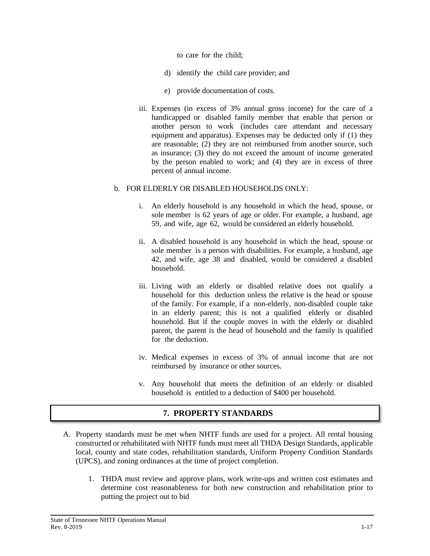to care for the child;

- d) identify the child care provider; and
- e) provide documentation of costs.
- iii. Expenses (in excess of 3% annual gross income) for the care of a handicapped or disabled family member that enable that person or another person to work (includes care attendant and necessary equipment and apparatus). Expenses may be deducted only if (1) they are reasonable; (2) they are not reimbursed from another source, such as insurance; (3) they do not exceed the amount of income generated by the person enabled to work; and (4) they are in excess of three percent of annual income.

#### b. FOR ELDERLY OR DISABLED HOUSEHOLDS ONLY:

- i. An elderly household is any household in which the head, spouse, or sole member is 62 years of age or older. For example, a husband, age 59, and wife, age 62, would be considered an elderly household.
- ii. A disabled household is any household in which the head, spouse or sole member is a person with disabilities. For example, a husband, age 42, and wife, age 38 and disabled, would be considered a disabled household.
- iii. Living with an elderly or disabled relative does not qualify a household for this deduction unless the relative is the head or spouse of the family. For example, if a non-elderly, non-disabled couple take in an elderly parent; this is not a qualified elderly or disabled household. But if the couple moves in with the elderly or disabled parent, the parent is the head of household and the family is qualified for the deduction.
- iv. Medical expenses in excess of 3% of annual income that are not reimbursed by insurance or other sources.
- v. Any household that meets the definition of an elderly or disabled household is entitled to a deduction of \$400 per household.

# **7. PROPERTY STANDARDS**

- A. Property standards must be met when NHTF funds are used for a project. All rental housing constructed or rehabilitated with NHTF funds must meet all THDA Design Standards, applicable local, county and state codes, rehabilitation standards, Uniform Property Condition Standards (UPCS), and zoning ordinances at the time of project completion.
	- 1. THDA must review and approve plans, work write-ups and written cost estimates and determine cost reasonableness for both new construction and rehabilitation prior to putting the project out to bid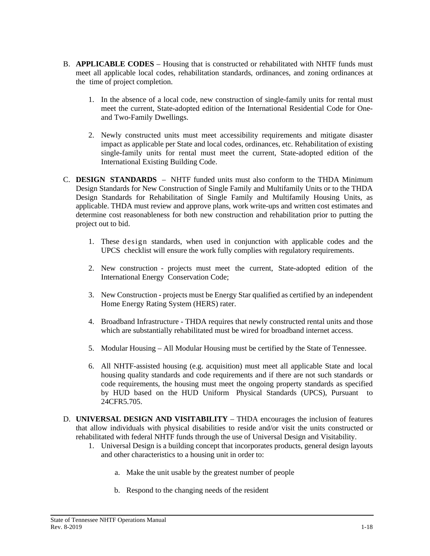- B. **APPLICABLE CODES** Housing that is constructed or rehabilitated with NHTF funds must meet all applicable local codes, rehabilitation standards, ordinances, and zoning ordinances at the time of project completion.
	- 1. In the absence of a local code, new construction of single-family units for rental must meet the current, State-adopted edition of the International Residential Code for Oneand Two-Family Dwellings.
	- 2. Newly constructed units must meet accessibility requirements and mitigate disaster impact as applicable per State and local codes, ordinances, etc. Rehabilitation of existing single-family units for rental must meet the current, State-adopted edition of the International Existing Building Code.
- C. **DESIGN STANDARDS** NHTF funded units must also conform to the THDA Minimum Design Standards for New Construction of Single Family and Multifamily Units or to the THDA Design Standards for Rehabilitation of Single Family and Multifamily Housing Units, as applicable. THDA must review and approve plans, work write-ups and written cost estimates and determine cost reasonableness for both new construction and rehabilitation prior to putting the project out to bid.
	- 1. These design standards, when used in conjunction with applicable codes and the UPCS checklist will ensure the work fully complies with regulatory requirements.
	- 2. New construction projects must meet the current, State-adopted edition of the International Energy Conservation Code;
	- 3. New Construction projects must be Energy Star qualified as certified by an independent Home Energy Rating System (HERS) rater.
	- 4. Broadband Infrastructure THDA requires that newly constructed rental units and those which are substantially rehabilitated must be wired for broadband internet access.
	- 5. Modular Housing All Modular Housing must be certified by the State of Tennessee.
	- 6. All NHTF-assisted housing (e.g. acquisition) must meet all applicable State and local housing quality standards and code requirements and if there are not such standards or code requirements, the housing must meet the ongoing property standards as specified by HUD based on the HUD Uniform Physical Standards (UPCS), Pursuant to 24CFR5.705.
- D. **UNIVERSAL DESIGN AND VISITABILITY**  THDA encourages the inclusion of features that allow individuals with physical disabilities to reside and/or visit the units constructed or rehabilitated with federal NHTF funds through the use of Universal Design and Visitability.
	- 1. Universal Design is a building concept that incorporates products, general design layouts and other characteristics to a housing unit in order to:
		- a. Make the unit usable by the greatest number of people
		- b. Respond to the changing needs of the resident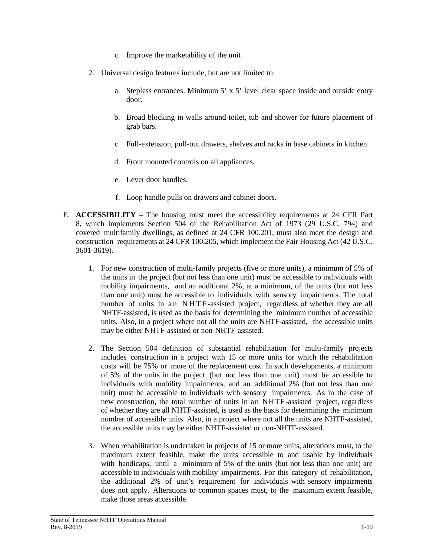- c. Improve the marketability of the unit
- 2. Universal design features include, but are not limited to:
	- a. Stepless entrances. Minimum 5' x 5' level clear space inside and outside entry door.
	- b. Broad blocking in walls around toilet, tub and shower for future placement of grab bars.
	- c. Full-extension, pull-out drawers, shelves and racks in base cabinets in kitchen.
	- d. Front mounted controls on all appliances.
	- e. Lever door handles.
	- f. Loop handle pulls on drawers and cabinet doors.
- E. **ACCESSIBILITY** The housing must meet the accessibility requirements at 24 CFR Part 8, which implements Section 504 of the Rehabilitation Act of 1973 (29 U.S.C. 794) and covered multifamily dwellings, as defined at 24 CFR 100.201, must also meet the design and construction requirements at 24 CFR 100.205, which implement the Fair Housing Act (42 U.S.C. 3601-3619).
	- 1. For new construction of multi-family projects (five or more units), a minimum of 5% of the units in the project (but not less than one unit) must be accessible to individuals with mobility impairments, and an additional 2%, at a minimum, of the units (but not less than one unit) must be accessible to individuals with sensory impairments. The total number of units in an NHTF -assisted project, regardless of whether they are all NHTF-assisted, is used as the basis for determining the minimum number of accessible units. Also, in a project where not all the units are NHTF-assisted, the accessible units may be either NHTF-assisted or non-NHTF-assisted.
	- 2. The Section 504 definition of substantial rehabilitation for multi-family projects includes construction in a project with 15 or more units for which the rehabilitation costs will be 75% or more of the replacement cost. In such developments, a minimum of 5% of the units in the project (but not less than one unit) must be accessible to individuals with mobility impairments, and an additional 2% (but not less than one unit) must be accessible to individuals with sensory impairments. As in the case of new construction, the total number of units in an NHTF-assisted project, regardless of whether they are all NHTF-assisted, is used as the basis for determining the minimum number of accessible units. Also, in a project where not all the units are NHTF-assisted, the accessible units may be either NHTF-assisted or non-NHTF-assisted.
	- 3. When rehabilitation is undertaken in projects of 15 or more units, alterations must, to the maximum extent feasible, make the units accessible to and usable by individuals with handicaps, until a minimum of 5% of the units (but not less than one unit) are accessible to individuals with mobility impairments. For this category of rehabilitation, the additional 2% of unit's requirement for individuals with sensory impairments does not apply. Alterations to common spaces must, to the maximum extent feasible, make those areas accessible.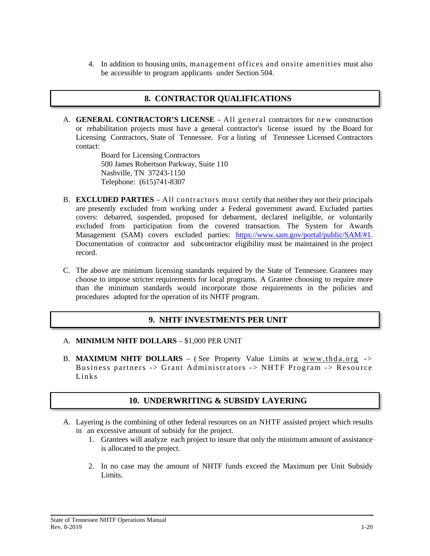4. In addition to housing units, management offices and onsite amenities must also be accessible to program applicants under Section 504.

### **8. CONTRACTOR QUALIFICATIONS**

A. **GENERAL CONTRACTOR'S LICENSE** – All general contractors for new construction or rehabilitation projects must have a general contractor's license issued by the Board for Licensing Contractors, State of Tennessee. For a listing of Tennessee Licensed Contractors contact:

> Board for Licensing Contractors 500 James Robertson Parkway, Suite 110 Nashville, TN 37243-1150 Telephone: (615)741-8307

- B. **EXCLUDED PARTIES** All contractors must certify that neither they nor their principals are presently excluded from working under a Federal government award. Excluded parties covers: debarred, suspended, proposed for debarment, declared ineligible, or voluntarily excluded from participation from the covered transaction. The System for Awards Management (SAM) covers excluded parties: [https://www.sam.gov/portal/public/SAM/#1.](https://www.sam.gov/portal/public/SAM/#1) Documentation of contractor and subcontractor eligibility must be maintained in the project record.
- C. The above are minimum licensing standards required by the State of Tennessee. Grantees may choose to impose stricter requirements for local programs. A Grantee choosing to require more than the minimum standards would incorporate those requirements in the policies and procedures adopted for the operation of its NHTF program.

### **9. NHTF INVESTMENTS PER UNIT**

#### A. **MINIMUM NHTF DOLLARS** – \$1,000 PER UNIT

B. **MAXIMUM NHTF DOLLARS** – ( See Property Value Limits at [www.thda.org](http://www.thda.org/) -> Business partners -> Grant Administrators -> NHTF Program -> Resource Links

### **10. UNDERWRITING & SUBSIDY LAYERING**

- A. Layering is the combining of other federal resources on an NHTF assisted project which results in an excessive amount of subsidy for the project.
	- 1. Grantees will analyze each project to insure that only the minimum amount of assistance is allocated to the project.
	- 2. In no case may the amount of NHTF funds exceed the Maximum per Unit Subsidy Limits.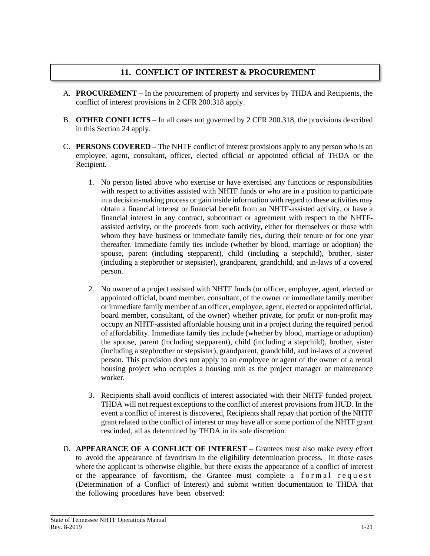### **11. CONFLICT OF INTEREST & PROCUREMENT**

- A. **PROCUREMENT** In the procurement of property and services by THDA and Recipients, the conflict of interest provisions in 2 CFR 200.318 apply.
- B. **OTHER CONFLICTS** In all cases not governed by 2 CFR 200.318, the provisions described in this Section 24 apply.
- C. **PERSONS COVERED** The NHTF conflict of interest provisions apply to any person who is an employee, agent, consultant, officer, elected official or appointed official of THDA or the Recipient.
	- 1. No person listed above who exercise or have exercised any functions or responsibilities with respect to activities assisted with NHTF funds or who are in a position to participate in a decision-making process or gain inside information with regard to these activities may obtain a financial interest or financial benefit from an NHTF-assisted activity, or have a financial interest in any contract, subcontract or agreement with respect to the NHTFassisted activity, or the proceeds from such activity, either for themselves or those with whom they have business or immediate family ties, during their tenure or for one year thereafter. Immediate family ties include (whether by blood, marriage or adoption) the spouse, parent (including stepparent), child (including a stepchild), brother, sister (including a stepbrother or stepsister), grandparent, grandchild, and in-laws of a covered person.
	- 2. No owner of a project assisted with NHTF funds (or officer, employee, agent, elected or appointed official, board member, consultant, of the owner or immediate family member or immediate family member of an officer, employee, agent, elected or appointed official, board member, consultant, of the owner) whether private, for profit or non-profit may occupy an NHTF-assisted affordable housing unit in a project during the required period of affordability. Immediate family ties include (whether by blood, marriage or adoption) the spouse, parent (including stepparent), child (including a stepchild), brother, sister (including a stepbrother or stepsister), grandparent, grandchild, and in-laws of a covered person. This provision does not apply to an employee or agent of the owner of a rental housing project who occupies a housing unit as the project manager or maintenance worker.
	- 3. Recipients shall avoid conflicts of interest associated with their NHTF funded project. THDA will not request exceptions to the conflict of interest provisions from HUD. In the event a conflict of interest is discovered, Recipients shall repay that portion of the NHTF grant related to the conflict of interest or may have all or some portion of the NHTF grant rescinded, all as determined by THDA in its sole discretion.
- D. **APPEARANCE OF A CONFLICT OF INTEREST** Grantees must also make every effort to avoid the appearance of favoritism in the eligibility determination process. In those cases where the applicant is otherwise eligible, but there exists the appearance of a conflict of interest or the appearance of favoritism, the Grantee must complete a formal request (Determination of a Conflict of Interest) and submit written documentation to THDA that the following procedures have been observed: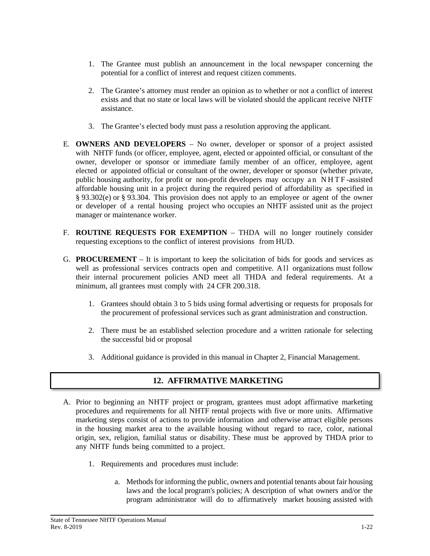- 1. The Grantee must publish an announcement in the local newspaper concerning the potential for a conflict of interest and request citizen comments.
- 2. The Grantee's attorney must render an opinion as to whether or not a conflict of interest exists and that no state or local laws will be violated should the applicant receive NHTF assistance.
- 3. The Grantee's elected body must pass a resolution approving the applicant.
- E. **OWNERS AND DEVELOPERS** No owner, developer or sponsor of a project assisted with NHTF funds (or officer, employee, agent, elected or appointed official, or consultant of the owner, developer or sponsor or immediate family member of an officer, employee, agent elected or appointed official or consultant of the owner, developer or sponsor (whether private, public housing authority, for profit or non-profit developers may occupy an NHTF -assisted affordable housing unit in a project during the required period of affordability as specified in § 93.302(e) or § 93.304. This provision does not apply to an employee or agent of the owner or developer of a rental housing project who occupies an NHTF assisted unit as the project manager or maintenance worker.
- F. **ROUTINE REQUESTS FOR EXEMPTION** THDA will no longer routinely consider requesting exceptions to the conflict of interest provisions from HUD.
- G. **PROCUREMENT** It is important to keep the solicitation of bids for goods and services as well as professional services contracts open and competitive. All organizations must follow their internal procurement policies AND meet all THDA and federal requirements. At a minimum, all grantees must comply with 24 CFR 200.318.
	- 1. Grantees should obtain 3 to 5 bids using formal advertising or requests for proposals for the procurement of professional services such as grant administration and construction.
	- 2. There must be an established selection procedure and a written rationale for selecting the successful bid or proposal
	- 3. Additional guidance is provided in this manual in Chapter 2, Financial Management.

# **12. AFFIRMATIVE MARKETING**

- A. Prior to beginning an NHTF project or program, grantees must adopt affirmative marketing procedures and requirements for all NHTF rental projects with five or more units. Affirmative marketing steps consist of actions to provide information and otherwise attract eligible persons in the housing market area to the available housing without regard to race, color, national origin, sex, religion, familial status or disability. These must be approved by THDA prior to any NHTF funds being committed to a project.
	- 1. Requirements and procedures must include:
		- a. Methods for informing the public, owners and potential tenants about fair housing laws and the local program's policies; A description of what owners and/or the program administrator will do to affirmatively market housing assisted with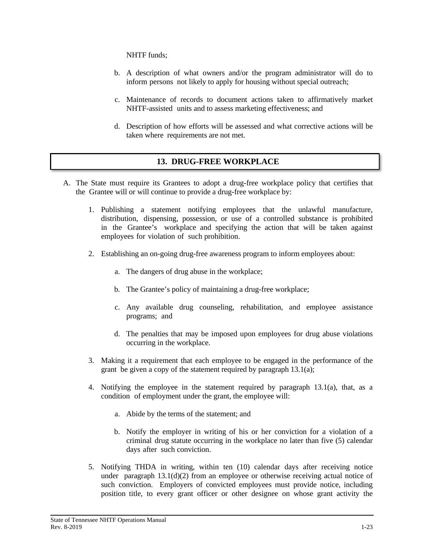NHTF funds;

- b. A description of what owners and/or the program administrator will do to inform persons not likely to apply for housing without special outreach;
- c. Maintenance of records to document actions taken to affirmatively market NHTF-assisted units and to assess marketing effectiveness; and
- d. Description of how efforts will be assessed and what corrective actions will be taken where requirements are not met.

## **13. DRUG-FREE WORKPLACE**

- A. The State must require its Grantees to adopt a drug-free workplace policy that certifies that the Grantee will or will continue to provide a drug-free workplace by:
	- 1. Publishing a statement notifying employees that the unlawful manufacture, distribution, dispensing, possession, or use of a controlled substance is prohibited in the Grantee's workplace and specifying the action that will be taken against employees for violation of such prohibition.
	- 2. Establishing an on-going drug-free awareness program to inform employees about:
		- a. The dangers of drug abuse in the workplace;
		- b. The Grantee's policy of maintaining a drug-free workplace;
		- c. Any available drug counseling, rehabilitation, and employee assistance programs; and
		- d. The penalties that may be imposed upon employees for drug abuse violations occurring in the workplace.
	- 3. Making it a requirement that each employee to be engaged in the performance of the grant be given a copy of the statement required by paragraph 13.1(a);
	- 4. Notifying the employee in the statement required by paragraph 13.1(a), that, as a condition of employment under the grant, the employee will:
		- a. Abide by the terms of the statement; and
		- b. Notify the employer in writing of his or her conviction for a violation of a criminal drug statute occurring in the workplace no later than five (5) calendar days after such conviction.
	- 5. Notifying THDA in writing, within ten (10) calendar days after receiving notice under paragraph  $13.1(d)(2)$  from an employee or otherwise receiving actual notice of such conviction. Employers of convicted employees must provide notice, including position title, to every grant officer or other designee on whose grant activity the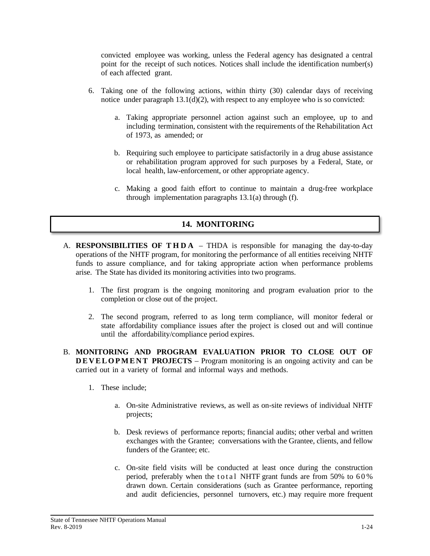convicted employee was working, unless the Federal agency has designated a central point for the receipt of such notices. Notices shall include the identification number(s) of each affected grant.

- 6. Taking one of the following actions, within thirty (30) calendar days of receiving notice under paragraph  $13.1(d)(2)$ , with respect to any employee who is so convicted:
	- a. Taking appropriate personnel action against such an employee, up to and including termination, consistent with the requirements of the Rehabilitation Act of 1973, as amended; or
	- b. Requiring such employee to participate satisfactorily in a drug abuse assistance or rehabilitation program approved for such purposes by a Federal, State, or local health, law-enforcement, or other appropriate agency.
	- c. Making a good faith effort to continue to maintain a drug-free workplace through implementation paragraphs 13.1(a) through (f).

### **14. MONITORING**

- A. **RESPONSIBILITIES OF THDA** THDA is responsible for managing the day-to-day operations of the NHTF program, for monitoring the performance of all entities receiving NHTF funds to assure compliance, and for taking appropriate action when performance problems arise. The State has divided its monitoring activities into two programs.
	- 1. The first program is the ongoing monitoring and program evaluation prior to the completion or close out of the project.
	- 2. The second program, referred to as long term compliance, will monitor federal or state affordability compliance issues after the project is closed out and will continue until the affordability/compliance period expires.
- B. **MONITORING AND PROGRAM EVALUATION PRIOR TO CLOSE OUT OF DEVELOPMENT PROJECTS** – Program monitoring is an ongoing activity and can be carried out in a variety of formal and informal ways and methods.
	- 1. These include;
		- a. On-site Administrative reviews, as well as on-site reviews of individual NHTF projects;
		- b. Desk reviews of performance reports; financial audits; other verbal and written exchanges with the Grantee; conversations with the Grantee, clients, and fellow funders of the Grantee; etc.
		- c. On-site field visits will be conducted at least once during the construction period, preferably when the total NHTF grant funds are from  $50\%$  to  $60\%$ drawn down. Certain considerations (such as Grantee performance, reporting and audit deficiencies, personnel turnovers, etc.) may require more frequent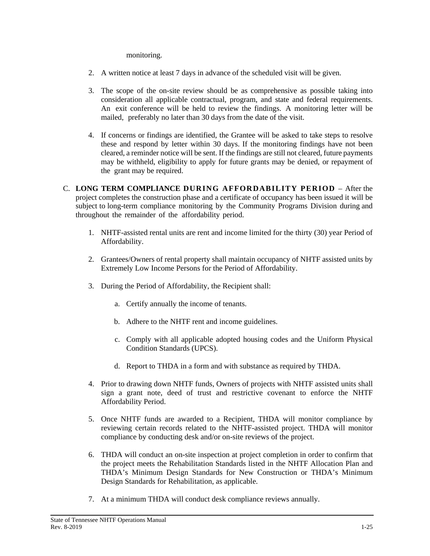monitoring.

- 2. A written notice at least 7 days in advance of the scheduled visit will be given.
- 3. The scope of the on-site review should be as comprehensive as possible taking into consideration all applicable contractual, program, and state and federal requirements. An exit conference will be held to review the findings. A monitoring letter will be mailed, preferably no later than 30 days from the date of the visit.
- 4. If concerns or findings are identified, the Grantee will be asked to take steps to resolve these and respond by letter within 30 days. If the monitoring findings have not been cleared, a reminder notice will be sent. If the findings are still not cleared, future payments may be withheld, eligibility to apply for future grants may be denied, or repayment of the grant may be required.
- C. **LONG TERM COMPLIANCE DURING AFFORDABILITY PERIOD** After the project completes the construction phase and a certificate of occupancy has been issued it will be subject to long-term compliance monitoring by the Community Programs Division during and throughout the remainder of the affordability period.
	- 1. NHTF-assisted rental units are rent and income limited for the thirty (30) year Period of Affordability.
	- 2. Grantees/Owners of rental property shall maintain occupancy of NHTF assisted units by Extremely Low Income Persons for the Period of Affordability.
	- 3. During the Period of Affordability, the Recipient shall:
		- a. Certify annually the income of tenants.
		- b. Adhere to the NHTF rent and income guidelines.
		- c. Comply with all applicable adopted housing codes and the Uniform Physical Condition Standards (UPCS).
		- d. Report to THDA in a form and with substance as required by THDA.
	- 4. Prior to drawing down NHTF funds, Owners of projects with NHTF assisted units shall sign a grant note, deed of trust and restrictive covenant to enforce the NHTF Affordability Period.
	- 5. Once NHTF funds are awarded to a Recipient, THDA will monitor compliance by reviewing certain records related to the NHTF-assisted project. THDA will monitor compliance by conducting desk and/or on-site reviews of the project.
	- 6. THDA will conduct an on-site inspection at project completion in order to confirm that the project meets the Rehabilitation Standards listed in the NHTF Allocation Plan and THDA's Minimum Design Standards for New Construction or THDA's Minimum Design Standards for Rehabilitation, as applicable.
	- 7. At a minimum THDA will conduct desk compliance reviews annually.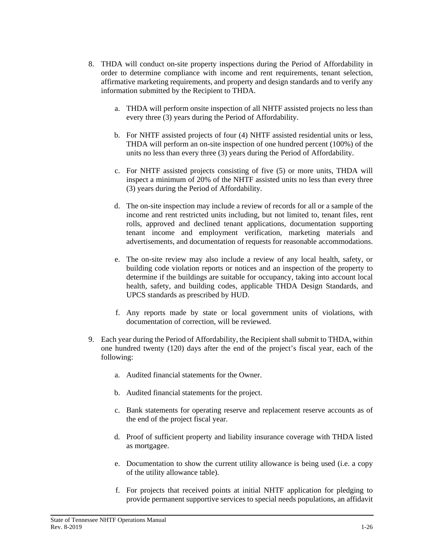- 8. THDA will conduct on-site property inspections during the Period of Affordability in order to determine compliance with income and rent requirements, tenant selection, affirmative marketing requirements, and property and design standards and to verify any information submitted by the Recipient to THDA.
	- a. THDA will perform onsite inspection of all NHTF assisted projects no less than every three (3) years during the Period of Affordability.
	- b. For NHTF assisted projects of four (4) NHTF assisted residential units or less, THDA will perform an on-site inspection of one hundred percent (100%) of the units no less than every three (3) years during the Period of Affordability.
	- c. For NHTF assisted projects consisting of five (5) or more units, THDA will inspect a minimum of 20% of the NHTF assisted units no less than every three (3) years during the Period of Affordability.
	- d. The on-site inspection may include a review of records for all or a sample of the income and rent restricted units including, but not limited to, tenant files, rent rolls, approved and declined tenant applications, documentation supporting tenant income and employment verification, marketing materials and advertisements, and documentation of requests for reasonable accommodations.
	- e. The on-site review may also include a review of any local health, safety, or building code violation reports or notices and an inspection of the property to determine if the buildings are suitable for occupancy, taking into account local health, safety, and building codes, applicable THDA Design Standards, and UPCS standards as prescribed by HUD.
	- f. Any reports made by state or local government units of violations, with documentation of correction, will be reviewed.
- 9. Each year during the Period of Affordability, the Recipient shall submit to THDA, within one hundred twenty (120) days after the end of the project's fiscal year, each of the following:
	- a. Audited financial statements for the Owner.
	- b. Audited financial statements for the project.
	- c. Bank statements for operating reserve and replacement reserve accounts as of the end of the project fiscal year.
	- d. Proof of sufficient property and liability insurance coverage with THDA listed as mortgagee.
	- e. Documentation to show the current utility allowance is being used (i.e. a copy of the utility allowance table).
	- f. For projects that received points at initial NHTF application for pledging to provide permanent supportive services to special needs populations, an affidavit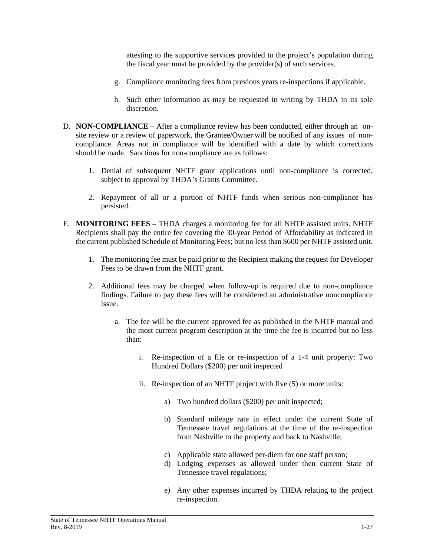attesting to the supportive services provided to the project's population during the fiscal year must be provided by the provider(s) of such services.

- g. Compliance monitoring fees from previous years re-inspections if applicable.
- h. Such other information as may be requested in writing by THDA in its sole discretion.
- D. **NON-COMPLIANCE** After a compliance review has been conducted, either through an onsite review or a review of paperwork, the Grantee/Owner will be notified of any issues of noncompliance. Areas not in compliance will be identified with a date by which corrections should be made. Sanctions for non-compliance are as follows:
	- 1. Denial of subsequent NHTF grant applications until non-compliance is corrected, subject to approval by THDA's Grants Committee.
	- 2. Repayment of all or a portion of NHTF funds when serious non-compliance has persisted.
- E. **MONITORING FEES**  THDA charges a monitoring fee for all NHTF assisted units. NHTF Recipients shall pay the entire fee covering the 30-year Period of Affordability as indicated in the current published Schedule of Monitoring Fees; but no less than \$600 per NHTF assisted unit.
	- 1. The monitoring fee must be paid prior to the Recipient making the request for Developer Fees to be drawn from the NHTF grant.
	- 2. Additional fees may be charged when follow-up is required due to non-compliance findings. Failure to pay these fees will be considered an administrative noncompliance issue.
		- a. The fee will be the current approved fee as published in the NHTF manual and the most current program description at the time the fee is incurred but no less than:
			- i. Re-inspection of a file or re-inspection of a 1-4 unit property: Two Hundred Dollars (\$200) per unit inspected
			- ii. Re-inspection of an NHTF project with five (5) or more units:
				- a) Two hundred dollars (\$200) per unit inspected;
				- b) Standard mileage rate in effect under the current State of Tennessee travel regulations at the time of the re-inspection from Nashville to the property and back to Nashville;
				- c) Applicable state allowed per-diem for one staff person;
				- d) Lodging expenses as allowed under then current State of Tennessee travel regulations;
				- e) Any other expenses incurred by THDA relating to the project re-inspection.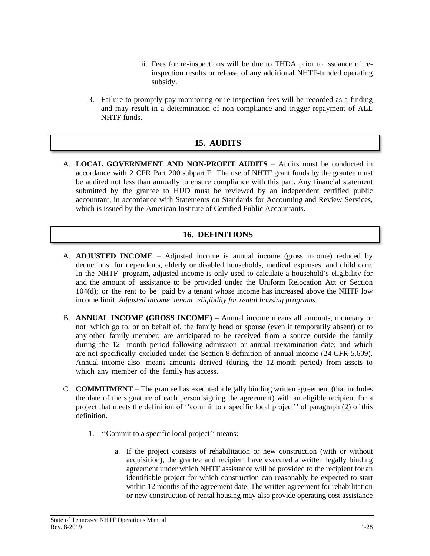- iii. Fees for re-inspections will be due to THDA prior to issuance of reinspection results or release of any additional NHTF-funded operating subsidy.
- 3. Failure to promptly pay monitoring or re-inspection fees will be recorded as a finding and may result in a determination of non-compliance and trigger repayment of ALL NHTF funds.

## **15. AUDITS**

A. **LOCAL GOVERNMENT AND NON-PROFIT AUDITS** – Audits must be conducted in accordance with 2 CFR Part 200 subpart F. The use of NHTF grant funds by the grantee must be audited not less than annually to ensure compliance with this part. Any financial statement submitted by the grantee to HUD must be reviewed by an independent certified public accountant, in accordance with Statements on Standards for Accounting and Review Services, which is issued by the American Institute of Certified Public Accountants.

#### **16. DEFINITIONS**

- A. **ADJUSTED INCOME** Adjusted income is annual income (gross income) reduced by deductions for dependents, elderly or disabled households, medical expenses, and child care. In the NHTF program, adjusted income is only used to calculate a household's eligibility for and the amount of assistance to be provided under the Uniform Relocation Act or Section 104(d); or the rent to be paid by a tenant whose income has increased above the NHTF low income limit. *Adjusted income tenant eligibility for rental housing programs.*
- B. **ANNUAL INCOME (GROSS INCOME)** Annual income means all amounts, monetary or not which go to, or on behalf of, the family head or spouse (even if temporarily absent) or to any other family member; are anticipated to be received from a source outside the family during the 12- month period following admission or annual reexamination date; and which are not specifically excluded under the Section 8 definition of annual income (24 CFR 5.609). Annual income also means amounts derived (during the 12-month period) from assets to which any member of the family has access.
- C. **COMMITMENT**  The grantee has executed a legally binding written agreement (that includes the date of the signature of each person signing the agreement) with an eligible recipient for a project that meets the definition of ''commit to a specific local project'' of paragraph (2) of this definition.
	- 1. ''Commit to a specific local project'' means:
		- a. If the project consists of rehabilitation or new construction (with or without acquisition), the grantee and recipient have executed a written legally binding agreement under which NHTF assistance will be provided to the recipient for an identifiable project for which construction can reasonably be expected to start within 12 months of the agreement date. The written agreement for rehabilitation or new construction of rental housing may also provide operating cost assistance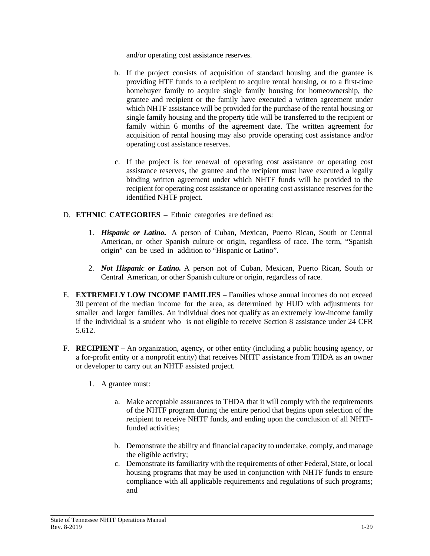and/or operating cost assistance reserves.

- b. If the project consists of acquisition of standard housing and the grantee is providing HTF funds to a recipient to acquire rental housing, or to a first-time homebuyer family to acquire single family housing for homeownership, the grantee and recipient or the family have executed a written agreement under which NHTF assistance will be provided for the purchase of the rental housing or single family housing and the property title will be transferred to the recipient or family within 6 months of the agreement date. The written agreement for acquisition of rental housing may also provide operating cost assistance and/or operating cost assistance reserves.
- c. If the project is for renewal of operating cost assistance or operating cost assistance reserves, the grantee and the recipient must have executed a legally binding written agreement under which NHTF funds will be provided to the recipient for operating cost assistance or operating cost assistance reserves for the identified NHTF project.
- D. **ETHNIC CATEGORIES** Ethnic categories are defined as:
	- 1. *Hispanic or Latino.* A person of Cuban, Mexican, Puerto Rican, South or Central American, or other Spanish culture or origin, regardless of race. The term, "Spanish origin" can be used in addition to "Hispanic or Latino".
	- 2. *Not Hispanic or Latino.* A person not of Cuban, Mexican, Puerto Rican, South or Central American, or other Spanish culture or origin, regardless of race.
- E. **EXTREMELY LOW INCOME FAMILIES** Families whose annual incomes do not exceed 30 percent of the median income for the area, as determined by HUD with adjustments for smaller and larger families. An individual does not qualify as an extremely low-income family if the individual is a student who is not eligible to receive Section 8 assistance under 24 CFR 5.612.
- F. **RECIPIENT** An organization, agency, or other entity (including a public housing agency, or a for-profit entity or a nonprofit entity) that receives NHTF assistance from THDA as an owner or developer to carry out an NHTF assisted project.
	- 1. A grantee must:
		- a. Make acceptable assurances to THDA that it will comply with the requirements of the NHTF program during the entire period that begins upon selection of the recipient to receive NHTF funds, and ending upon the conclusion of all NHTFfunded activities;
		- b. Demonstrate the ability and financial capacity to undertake, comply, and manage the eligible activity;
		- c. Demonstrate its familiarity with the requirements of other Federal, State, or local housing programs that may be used in conjunction with NHTF funds to ensure compliance with all applicable requirements and regulations of such programs; and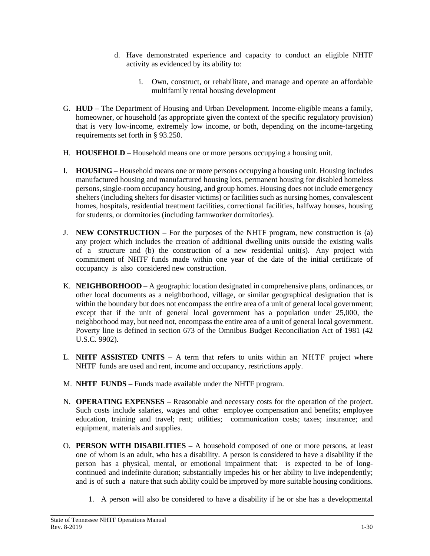- d. Have demonstrated experience and capacity to conduct an eligible NHTF activity as evidenced by its ability to:
	- i. Own, construct, or rehabilitate, and manage and operate an affordable multifamily rental housing development
- G. **HUD** The Department of Housing and Urban Development. Income-eligible means a family, homeowner, or household (as appropriate given the context of the specific regulatory provision) that is very low-income, extremely low income, or both, depending on the income-targeting requirements set forth in § 93.250.
- H. **HOUSEHOLD** Household means one or more persons occupying a housing unit.
- I. **HOUSING** Household means one or more persons occupying a housing unit. Housing includes manufactured housing and manufactured housing lots, permanent housing for disabled homeless persons, single-room occupancy housing, and group homes. Housing does not include emergency shelters (including shelters for disaster victims) or facilities such as nursing homes, convalescent homes, hospitals, residential treatment facilities, correctional facilities, halfway houses, housing for students, or dormitories (including farmworker dormitories).
- J. **NEW CONSTRUCTION** For the purposes of the NHTF program, new construction is (a) any project which includes the creation of additional dwelling units outside the existing walls of a structure and (b) the construction of a new residential unit(s). Any project with commitment of NHTF funds made within one year of the date of the initial certificate of occupancy is also considered new construction.
- K. **NEIGHBORHOOD** A geographic location designated in comprehensive plans, ordinances, or other local documents as a neighborhood, village, or similar geographical designation that is within the boundary but does not encompass the entire area of a unit of general local government; except that if the unit of general local government has a population under 25,000, the neighborhood may, but need not, encompass the entire area of a unit of general local government. Poverty line is defined in section 673 of the Omnibus Budget Reconciliation Act of 1981 (42 U.S.C. 9902).
- L. **NHTF ASSISTED UNITS** A term that refers to units within an NHTF project where NHTF funds are used and rent, income and occupancy, restrictions apply.
- M. **NHTF FUNDS** Funds made available under the NHTF program.
- N. **OPERATING EXPENSES** Reasonable and necessary costs for the operation of the project. Such costs include salaries, wages and other employee compensation and benefits; employee education, training and travel; rent; utilities; communication costs; taxes; insurance; and equipment, materials and supplies.
- O. **PERSON WITH DISABILITIES** A household composed of one or more persons, at least one of whom is an adult, who has a disability. A person is considered to have a disability if the person has a physical, mental, or emotional impairment that: is expected to be of longcontinued and indefinite duration; substantially impedes his or her ability to live independently; and is of such a nature that such ability could be improved by more suitable housing conditions.
	- 1. A person will also be considered to have a disability if he or she has a developmental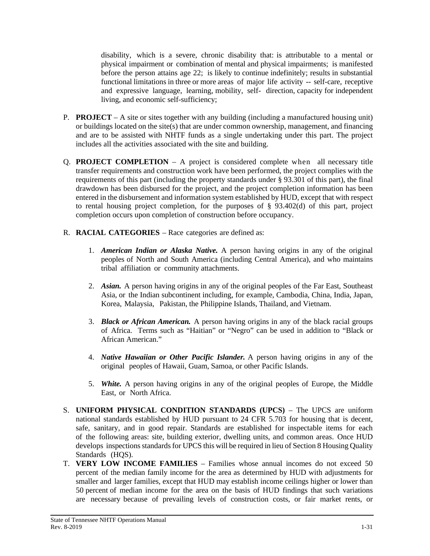disability, which is a severe, chronic disability that: is attributable to a mental or physical impairment or combination of mental and physical impairments; is manifested before the person attains age 22; is likely to continue indefinitely; results in substantial functional limitations in three or more areas of major life activity -- self-care, receptive and expressive language, learning, mobility, self- direction, capacity for independent living, and economic self-sufficiency;

- P. **PROJECT** A site or sites together with any building (including a manufactured housing unit) or buildings located on the site(s) that are under common ownership, management, and financing and are to be assisted with NHTF funds as a single undertaking under this part. The project includes all the activities associated with the site and building.
- Q. **PROJECT COMPLETION** A project is considered complete when all necessary title transfer requirements and construction work have been performed, the project complies with the requirements of this part (including the property standards under § 93.301 of this part), the final drawdown has been disbursed for the project, and the project completion information has been entered in the disbursement and information system established by HUD, except that with respect to rental housing project completion, for the purposes of  $\S$  93.402(d) of this part, project completion occurs upon completion of construction before occupancy.
- R. **RACIAL CATEGORIES** Race categories are defined as:
	- 1. *American Indian or Alaska Native.* A person having origins in any of the original peoples of North and South America (including Central America), and who maintains tribal affiliation or community attachments.
	- 2. *Asian.* A person having origins in any of the original peoples of the Far East, Southeast Asia, or the Indian subcontinent including, for example, Cambodia, China, India, Japan, Korea, Malaysia, Pakistan, the Philippine Islands, Thailand, and Vietnam.
	- 3. *Black or African American.* A person having origins in any of the black racial groups of Africa. Terms such as "Haitian" or "Negro" can be used in addition to "Black or African American."
	- 4. *Native Hawaiian or Other Pacific Islander.* A person having origins in any of the original peoples of Hawaii, Guam, Samoa, or other Pacific Islands.
	- 5. *White.* A person having origins in any of the original peoples of Europe, the Middle East, or North Africa.
- S. **UNIFORM PHYSICAL CONDITION STANDARDS (UPCS)** The UPCS are uniform national standards established by HUD pursuant to 24 CFR 5.703 for housing that is decent, safe, sanitary, and in good repair. Standards are established for inspectable items for each of the following areas: site, building exterior, dwelling units, and common areas. Once HUD develops inspections standards for UPCS this will be required in lieu of Section 8 Housing Quality Standards (HOS).
- T. **VERY LOW INCOME FAMILIES** Families whose annual incomes do not exceed 50 percent of the median family income for the area as determined by HUD with adjustments for smaller and larger families, except that HUD may establish income ceilings higher or lower than 50 percent of median income for the area on the basis of HUD findings that such variations are necessary because of prevailing levels of construction costs, or fair market rents, or